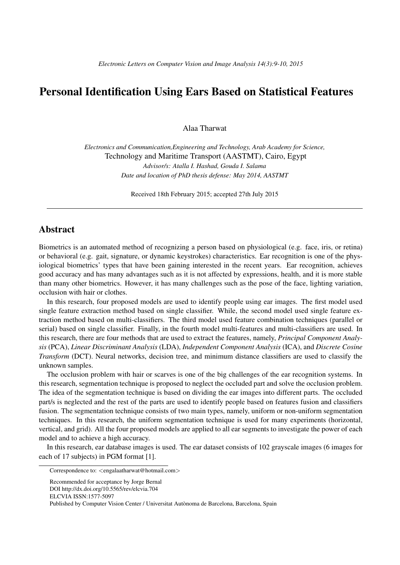## Personal Identification Using Ears Based on Statistical Features

Alaa Tharwat

*Electronics and Communication,Engineering and Technology, Arab Academy for Science,* Technology and Maritime Transport (AASTMT), Cairo, Egypt *Advisor/s: Atalla I. Hashad, Gouda I. Salama Date and location of PhD thesis defense: May 2014, AASTMT*

Received 18th February 2015; accepted 27th July 2015

## Abstract

Biometrics is an automated method of recognizing a person based on physiological (e.g. face, iris, or retina) or behavioral (e.g. gait, signature, or dynamic keystrokes) characteristics. Ear recognition is one of the physiological biometrics' types that have been gaining interested in the recent years. Ear recognition, achieves good accuracy and has many advantages such as it is not affected by expressions, health, and it is more stable than many other biometrics. However, it has many challenges such as the pose of the face, lighting variation, occlusion with hair or clothes.

In this research, four proposed models are used to identify people using ear images. The first model used single feature extraction method based on single classifier. While, the second model used single feature extraction method based on multi-classifiers. The third model used feature combination techniques (parallel or serial) based on single classifier. Finally, in the fourth model multi-features and multi-classifiers are used. In this research, there are four methods that are used to extract the features, namely, *Principal Component Analysis* (PCA), *Linear Discriminant Analysis* (LDA), *Independent Component Analysis* (ICA), and *Discrete Cosine Transform* (DCT). Neural networks, decision tree, and minimum distance classifiers are used to classify the unknown samples.

The occlusion problem with hair or scarves is one of the big challenges of the ear recognition systems. In this research, segmentation technique is proposed to neglect the occluded part and solve the occlusion problem. The idea of the segmentation technique is based on dividing the ear images into different parts. The occluded part/s is neglected and the rest of the parts are used to identify people based on features fusion and classifiers fusion. The segmentation technique consists of two main types, namely, uniform or non-uniform segmentation techniques. In this research, the uniform segmentation technique is used for many experiments (horizontal, vertical, and grid). All the four proposed models are applied to all ear segments to investigate the power of each model and to achieve a high accuracy.

In this research, ear database images is used. The ear dataset consists of 102 grayscale images (6 images for each of 17 subjects) in PGM format [1].

Correspondence to: *<*engalaatharwat@hotmail.com*>*

Recommended for acceptance by Jorge Bernal

DOI http://dx.doi.org/10.5565/rev/elcvia.704

ELCVIA ISSN:1577-5097

Published by Computer Vision Center / Universitat Autònoma de Barcelona, Barcelona, Spain